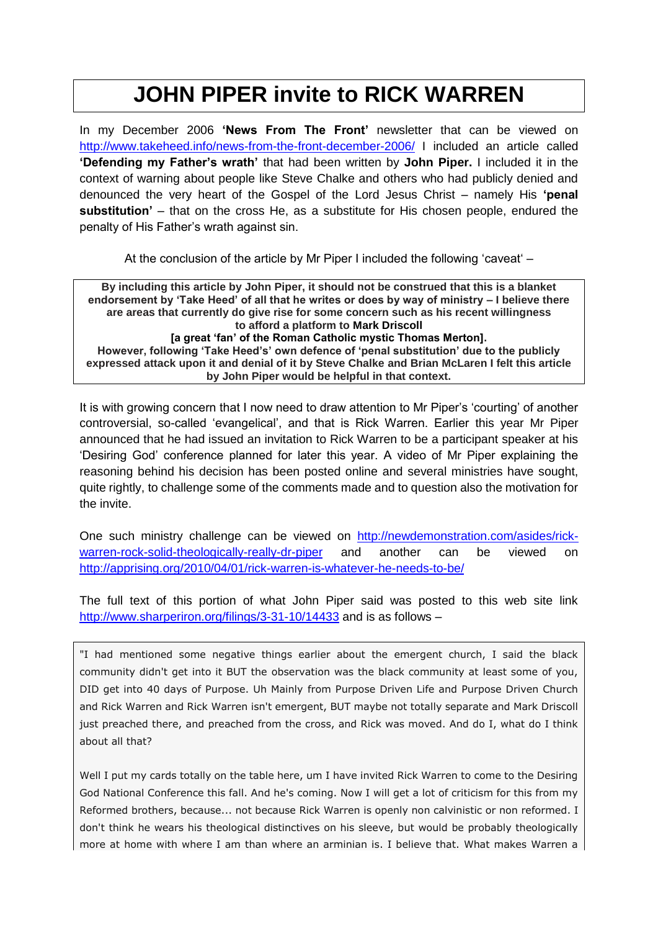## **JOHN PIPER invite to RICK WARREN**

In my December 2006 **'News From The Front'** newsletter that can be viewed on <http://www.takeheed.info/news-from-the-front-december-2006/> I included an article called **'Defending my Father's wrath'** that had been written by **John Piper.** I included it in the context of warning about people like Steve Chalke and others who had publicly denied and denounced the very heart of the Gospel of the Lord Jesus Christ – namely His **'penal substitution'** – that on the cross He, as a substitute for His chosen people, endured the penalty of His Father's wrath against sin.

At the conclusion of the article by Mr Piper I included the following 'caveat' –

**By including this article by John Piper, it should not be construed that this is a blanket endorsement by 'Take Heed' of all that he writes or does by way of ministry – I believe there are areas that currently do give rise for some concern such as his recent willingness to afford a platform to Mark Driscoll [a great 'fan' of the Roman Catholic mystic Thomas Merton]. However, following 'Take Heed's' own defence of 'penal substitution' due to the publicly expressed attack upon it and denial of it by Steve Chalke and Brian McLaren I felt this article by John Piper would be helpful in that context.**

It is with growing concern that I now need to draw attention to Mr Piper's 'courting' of another controversial, so-called 'evangelical', and that is Rick Warren. Earlier this year Mr Piper announced that he had issued an invitation to Rick Warren to be a participant speaker at his 'Desiring God' conference planned for later this year. A video of Mr Piper explaining the reasoning behind his decision has been posted online and several ministries have sought, quite rightly, to challenge some of the comments made and to question also the motivation for the invite.

One such ministry challenge can be viewed on [http://newdemonstration.com/asides/rick](http://newdemonstration.com/asides/rick-warren-rock-solid-theologically-really-dr-piper)[warren-rock-solid-theologically-really-dr-piper](http://newdemonstration.com/asides/rick-warren-rock-solid-theologically-really-dr-piper) and another can be viewed on <http://apprising.org/2010/04/01/rick-warren-is-whatever-he-needs-to-be/>

The full text of this portion of what John Piper said was posted to this web site link <http://www.sharperiron.org/filings/3-31-10/14433> and is as follows –

"I had mentioned some negative things earlier about the emergent church, I said the black community didn't get into it BUT the observation was the black community at least some of you, DID get into 40 days of Purpose. Uh Mainly from Purpose Driven Life and Purpose Driven Church and Rick Warren and Rick Warren isn't emergent, BUT maybe not totally separate and Mark Driscoll just preached there, and preached from the cross, and Rick was moved. And do I, what do I think about all that?

Well I put my cards totally on the table here, um I have invited Rick Warren to come to the Desiring God National Conference this fall. And he's coming. Now I will get a lot of criticism for this from my Reformed brothers, because... not because Rick Warren is openly non calvinistic or non reformed. I don't think he wears his theological distinctives on his sleeve, but would be probably theologically more at home with where I am than where an arminian is. I believe that. What makes Warren a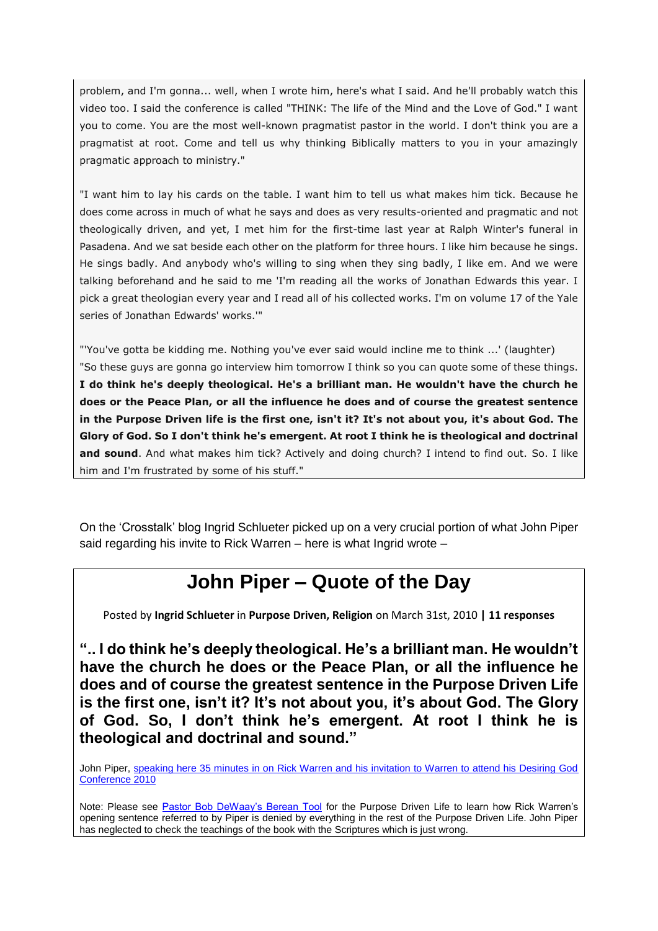problem, and I'm gonna... well, when I wrote him, here's what I said. And he'll probably watch this video too. I said the conference is called "THINK: The life of the Mind and the Love of God." I want you to come. You are the most well-known pragmatist pastor in the world. I don't think you are a pragmatist at root. Come and tell us why thinking Biblically matters to you in your amazingly pragmatic approach to ministry."

"I want him to lay his cards on the table. I want him to tell us what makes him tick. Because he does come across in much of what he says and does as very results-oriented and pragmatic and not theologically driven, and yet, I met him for the first-time last year at Ralph Winter's funeral in Pasadena. And we sat beside each other on the platform for three hours. I like him because he sings. He sings badly. And anybody who's willing to sing when they sing badly, I like em. And we were talking beforehand and he said to me 'I'm reading all the works of Jonathan Edwards this year. I pick a great theologian every year and I read all of his collected works. I'm on volume 17 of the Yale series of Jonathan Edwards' works.'"

"'You've gotta be kidding me. Nothing you've ever said would incline me to think ...' (laughter) "So these guys are gonna go interview him tomorrow I think so you can quote some of these things. **I do think he's deeply theological. He's a brilliant man. He wouldn't have the church he does or the Peace Plan, or all the influence he does and of course the greatest sentence in the Purpose Driven life is the first one, isn't it? It's not about you, it's about God. The Glory of God. So I don't think he's emergent. At root I think he is theological and doctrinal and sound**. And what makes him tick? Actively and doing church? I intend to find out. So. I like him and I'm frustrated by some of his stuff."

On the 'Crosstalk' blog Ingrid Schlueter picked up on a very crucial portion of what John Piper said regarding his invite to Rick Warren – here is what Ingrid wrote –

## John Piper – Quote of the Day

Posted by **Ingrid Schlueter** in **Purpose Driven, Religion** on March 31st, 2010 **| 11 responses**

".. I do think he's deeply theological. He's a brilliant man. He wouldn't have the church he does or the Peace Plan, or all the influence he does and of course the greatest sentence in the Purpose Driven Life is the first one, isn't it? It's not about you, it's about God. The Glory of God. So, I don't think he's emergent. At root I think he is theological and doctrinal and sound."

John Piper, speaking here 35 minutes in on Rick Warren and his invitation to Warren to attend his Desiring God [Conference 2010](http://www.desiringgod.org/ResourceLibrary/ConferenceMessages/ByDate/2010/4538_Q_and_A_with_Urban_Pastors/) 

Note: Please see [Pastor Bob DeWaay's Berean Tool](http://cicministry.org/berean.php) for the Purpose Driven Life to learn how Rick Warren's opening sentence referred to by Piper is denied by everything in the rest of the Purpose Driven Life. John Piper has neglected to check the teachings of the book with the Scriptures which is just wrong.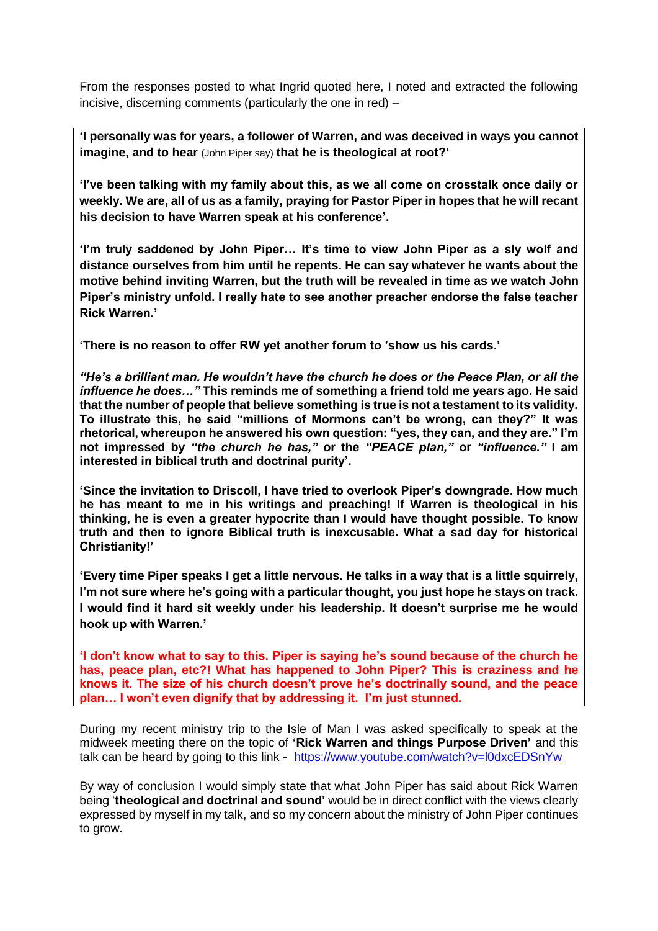From the responses posted to what Ingrid quoted here, I noted and extracted the following incisive, discerning comments (particularly the one in red) –

**'I personally was for years, a follower of Warren, and was deceived in ways you cannot imagine, and to hear** (John Piper say) **that he is theological at root?'** 

**'I've been talking with my family about this, as we all come on crosstalk once daily or weekly. We are, all of us as a family, praying for Pastor Piper in hopes that he will recant his decision to have Warren speak at his conference'.**

**'I'm truly saddened by John Piper… It's time to view John Piper as a sly wolf and distance ourselves from him until he repents. He can say whatever he wants about the motive behind inviting Warren, but the truth will be revealed in time as we watch John Piper's ministry unfold. I really hate to see another preacher endorse the false teacher Rick Warren.'**

**'There is no reason to offer RW yet another forum to 'show us his cards.'**

*"He's a brilliant man. He wouldn't have the church he does or the Peace Plan, or all the influence he does…"* **This reminds me of something a friend told me years ago. He said that the number of people that believe something is true is not a testament to its validity. To illustrate this, he said "millions of Mormons can't be wrong, can they?" It was rhetorical, whereupon he answered his own question: "yes, they can, and they are." I'm not impressed by** *"the church he has,"* **or the** *"PEACE plan,"* **or** *"influence."* **I am interested in biblical truth and doctrinal purity'.**

**'Since the invitation to Driscoll, I have tried to overlook Piper's downgrade. How much he has meant to me in his writings and preaching! If Warren is theological in his thinking, he is even a greater hypocrite than I would have thought possible. To know truth and then to ignore Biblical truth is inexcusable. What a sad day for historical Christianity!'**

**'Every time Piper speaks I get a little nervous. He talks in a way that is a little squirrely, I'm not sure where he's going with a particular thought, you just hope he stays on track. I would find it hard sit weekly under his leadership. It doesn't surprise me he would hook up with Warren.'**

**'I don't know what to say to this. Piper is saying he's sound because of the church he has, peace plan, etc?! What has happened to John Piper? This is craziness and he knows it. The size of his church doesn't prove he's doctrinally sound, and the peace plan… I won't even dignify that by addressing it. I'm just stunned.**

During my recent ministry trip to the Isle of Man I was asked specifically to speak at the midweek meeting there on the topic of **'Rick Warren and things Purpose Driven'** and this talk can be heard by going to this link - <https://www.youtube.com/watch?v=l0dxcEDSnYw>

By way of conclusion I would simply state that what John Piper has said about Rick Warren being '**theological and doctrinal and sound'** would be in direct conflict with the views clearly expressed by myself in my talk, and so my concern about the ministry of John Piper continues to grow.